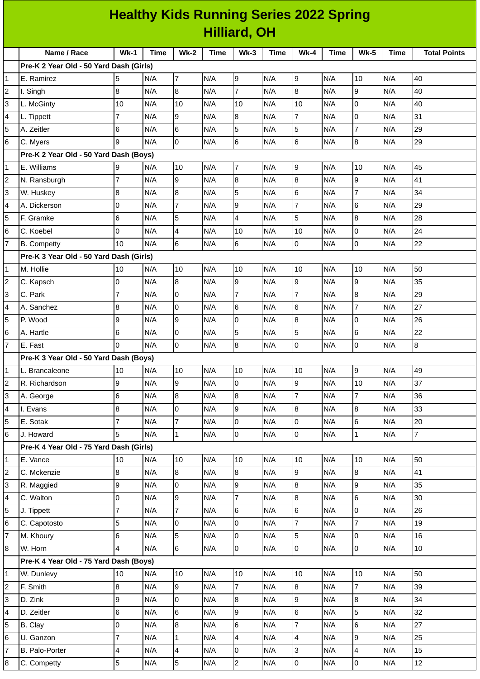| <b>Healthy Kids Running Series 2022 Spring</b> |                                         |                         |             |                          |             |                         |             |                |             |                         |             |                     |
|------------------------------------------------|-----------------------------------------|-------------------------|-------------|--------------------------|-------------|-------------------------|-------------|----------------|-------------|-------------------------|-------------|---------------------|
| <b>Hilliard, OH</b>                            |                                         |                         |             |                          |             |                         |             |                |             |                         |             |                     |
|                                                | Name / Race                             | $Wk-1$                  | <b>Time</b> | <b>Wk-2</b>              | <b>Time</b> | $Wk-3$                  | <b>Time</b> | $Wk-4$         | <b>Time</b> | <b>Wk-5</b>             | <b>Time</b> | <b>Total Points</b> |
|                                                | Pre-K 2 Year Old - 50 Yard Dash (Girls) |                         |             |                          |             |                         |             |                |             |                         |             |                     |
| 1                                              | E. Ramirez                              | 5                       | N/A         | $\overline{7}$           | N/A         | 9                       | N/A         | 9              | N/A         | 10                      | N/A         | 40                  |
| $\overline{c}$                                 | I. Singh                                | 8                       | N/A         | $\overline{8}$           | N/A         | $\overline{7}$          | N/A         | 8              | N/A         | 9                       | N/A         | 40                  |
| 3                                              | L. McGinty                              | 10                      | N/A         | 10                       | N/A         | 10                      | N/A         | 10             | N/A         | $\mathsf{O}$            | N/A         | 40                  |
| 4                                              | L. Tippett                              | 7                       | N/A         | 9                        | N/A         | $\, 8$                  | N/A         | $\overline{7}$ | N/A         | $\mathsf 0$             | N/A         | 31                  |
| 5                                              | A. Zeitler                              | 6                       | N/A         | 6                        | N/A         | 5                       | N/A         | 5              | N/A         | $\overline{7}$          | N/A         | 29                  |
| 6                                              | C. Myers                                | 9                       | N/A         | I٥                       | N/A         | 6                       | N/A         | 6              | N/A         | $\overline{8}$          | N/A         | 29                  |
|                                                | Pre-K 2 Year Old - 50 Yard Dash (Boys)  |                         |             |                          |             |                         |             |                |             |                         |             |                     |
| 1                                              | E. Williams                             | 9                       | N/A         | 10                       | N/A         | $\overline{7}$          | N/A         | l9             | N/A         | 10                      | N/A         | 45                  |
| 2                                              | N. Ransburgh                            | 7                       | N/A         | 9                        | N/A         | 8                       | N/A         | 8              | N/A         | 9                       | N/A         | 41                  |
| 3                                              | W. Huskey                               | $\bf 8$                 | N/A         | 8                        | N/A         | 5                       | N/A         | 6              | N/A         | $\overline{7}$          | N/A         | 34                  |
| 4                                              | A. Dickerson                            | 0                       | N/A         | $\overline{7}$           | N/A         | 9                       | N/A         | 7              | N/A         | $6\phantom{.}6$         | N/A         | 29                  |
| 5                                              | F. Gramke                               | 6                       | N/A         | 5                        | N/A         | $\overline{4}$          | N/A         | 5              | N/A         | $\, 8$                  | N/A         | 28                  |
| 6                                              | C. Koebel                               | l0                      | N/A         | $\overline{\mathcal{L}}$ | N/A         | 10                      | N/A         | 10             | N/A         | $\mathsf 0$             | N/A         | 24                  |
| $\overline{7}$                                 | <b>B.</b> Competty                      | 10                      | N/A         | 6                        | N/A         | 6                       | N/A         | 0              | N/A         | $\overline{0}$          | N/A         | 22                  |
|                                                | Pre-K 3 Year Old - 50 Yard Dash (Girls) |                         |             |                          |             |                         |             |                |             |                         |             |                     |
| 1                                              | M. Hollie                               | 10                      | N/A         | 10                       | N/A         | 10                      | N/A         | 10             | N/A         | 10                      | N/A         | 50                  |
| 2                                              | C. Kapsch                               | O                       | N/A         | 8                        | N/A         | 9                       | N/A         | 9              | N/A         | $\mathsf g$             | N/A         | 35                  |
| 3                                              | C. Park                                 | $\overline{7}$          | N/A         | l0                       | N/A         | $\overline{7}$          | N/A         | $\overline{7}$ | N/A         | $\bf{8}$                | N/A         | 29                  |
| 4                                              | A. Sanchez                              | 8                       | N/A         | l0                       | N/A         | 6                       | N/A         | 6              | N/A         | $\overline{7}$          | N/A         | 27                  |
| 5                                              | P. Wood                                 | 9                       | N/A         | 9                        | N/A         | 0                       | N/A         | 8              | N/A         | 0                       | N/A         | 26                  |
| 6                                              | A. Hartle                               | 6                       | N/A         | l0                       | N/A         | 5                       | N/A         | 5              | N/A         | $6\phantom{.}6$         | N/A         | 22                  |
| $\overline{7}$                                 | E. Fast                                 | I0                      | N/A         | 0                        | N/A         | 8                       | N/A         | 0              | N/A         | 0                       | N/A         | 8                   |
|                                                | Pre-K 3 Year Old - 50 Yard Dash (Boys)  |                         |             |                          |             |                         |             |                |             |                         |             |                     |
| 1                                              | L. Brancaleone                          | 10                      | N/A         | 10                       | N/A         | 10                      | N/A         | $10\,$         | N/A         | 9                       | N/A         | 49                  |
| 2                                              | R. Richardson                           | 9                       | N/A         | 9                        | N/A         | 0                       | N/A         | 9              | N/A         | 10                      | N/A         | 37                  |
| 3                                              | A. George                               | $6\phantom{a}$          | N/A         | $\overline{8}$           | N/A         | $\overline{8}$          | N/A         | $\overline{7}$ | N/A         | $\overline{7}$          | N/A         | 36                  |
| 4                                              | I. Evans                                | 8                       | N/A         | l0                       | N/A         | 9                       | N/A         | 8              | N/A         | $\bf{8}$                | N/A         | 33                  |
| 5                                              | E. Sotak                                | $\overline{7}$          | N/A         | $\overline{7}$           | N/A         | 0                       | N/A         | 0              | N/A         | $\,6$                   | N/A         | 20                  |
| 6                                              | J. Howard                               | 5                       | N/A         | $\mathbf{1}$             | N/A         | 0                       | N/A         | 0              | N/A         | $\mathbf{1}$            | N/A         | $\overline{7}$      |
|                                                | Pre-K 4 Year Old - 75 Yard Dash (Girls) |                         |             |                          |             |                         |             |                |             |                         |             |                     |
| 1                                              | E. Vance                                | 10                      | N/A         | 10                       | N/A         | 10                      | N/A         | $10\,$         | N/A         | 10                      | N/A         | 50                  |
| 2                                              | C. Mckenzie                             | $\overline{8}$          | N/A         | $\overline{8}$           | N/A         | $\overline{8}$          | N/A         | 9              | N/A         | $\overline{8}$          | N/A         | 41                  |
| 3                                              | R. Maggied                              | 9                       | N/A         | l0                       | N/A         | 9                       | N/A         | 8              | N/A         | 9                       | N/A         | 35                  |
| 4                                              | C. Walton                               | 0                       | N/A         | 9                        | N/A         | $\overline{7}$          | N/A         | 8              | N/A         | $\,6$                   | N/A         | 30                  |
| 5                                              | J. Tippett                              | $\overline{7}$          | N/A         | $\overline{7}$           | N/A         | $6\phantom{a}$          | N/A         | 6              | N/A         | $\overline{0}$          | N/A         | 26                  |
| 6                                              | C. Capotosto                            | 5                       | N/A         | l0                       | N/A         | $\overline{0}$          | N/A         | $\overline{7}$ | N/A         | $\overline{7}$          | N/A         | 19                  |
| $\overline{7}$                                 | M. Khoury                               | 6                       | N/A         | 5                        | N/A         | 0                       | N/A         | 5              | N/A         | $\overline{0}$          | N/A         | 16                  |
| 8                                              | W. Horn                                 | 4                       | N/A         | 6                        | N/A         | $\overline{0}$          | N/A         | 0              | N/A         | $\overline{0}$          | N/A         | 10                  |
|                                                | Pre-K 4 Year Old - 75 Yard Dash (Boys)  |                         |             |                          |             |                         |             |                |             |                         |             |                     |
| 1                                              | W. Dunlevy                              | 10                      | N/A         | 10                       | N/A         | 10                      | N/A         | 10             | N/A         | 10                      | N/A         | 50                  |
| 2                                              | F. Smith                                | $\overline{8}$          | N/A         | 9                        | N/A         | $\overline{7}$          | N/A         | $\bf{8}$       | N/A         | $\overline{7}$          | N/A         | 39                  |
| 3                                              | D. Zink                                 | 9                       | N/A         | l0                       | N/A         | $8\,$                   | N/A         | 9              | N/A         | $\bf{8}$                | N/A         | 34                  |
| 4                                              | D. Zeitler                              | $6\phantom{.}6$         | N/A         | $6\phantom{.}6$          | N/A         | 9                       | N/A         | 6              | N/A         | 5                       | N/A         | 32                  |
| 5                                              | B. Clay                                 | l0                      | N/A         | $\overline{8}$           | N/A         | $\,6$                   | N/A         | $\overline{7}$ | N/A         | $\,6$                   | N/A         | 27                  |
| 6                                              | U. Ganzon                               | $\overline{7}$          | N/A         | $\mathbf{1}$             | N/A         | $\overline{\mathbf{4}}$ | N/A         | 4              | N/A         | 9                       | N/A         | 25                  |
| 7                                              | B. Palo-Porter                          | $\overline{\mathbf{4}}$ | N/A         | $\overline{\mathbf{4}}$  | N/A         | 0                       | N/A         | 3              | N/A         | $\overline{\mathbf{4}}$ | N/A         | 15                  |
| 8                                              | C. Competty                             | 5                       | N/A         | 5                        | N/A         | $\overline{c}$          | N/A         | 0              | N/A         | $\overline{0}$          | N/A         | 12                  |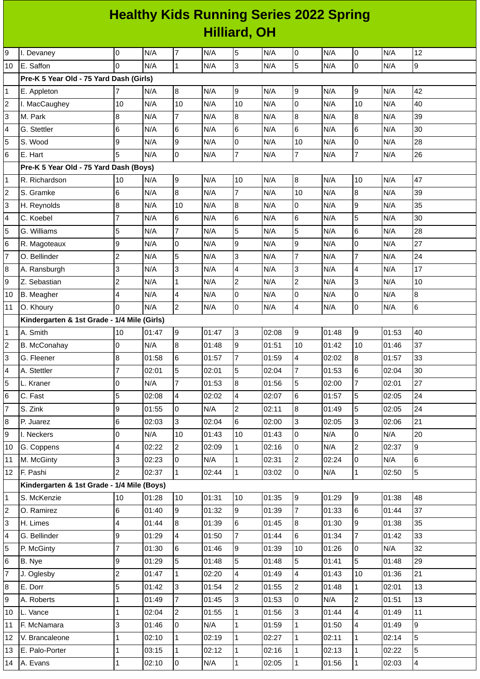## **Healthy Kids Running Series 2022 Spring Hilliard, OH**

| 9              | I. Devaney                                  | 0              | N/A   | 7                       | N/A   | 5               | N/A   | 0              | N/A   | 0              | N/A   | 12             |
|----------------|---------------------------------------------|----------------|-------|-------------------------|-------|-----------------|-------|----------------|-------|----------------|-------|----------------|
| 10             | E. Saffon                                   | $\Omega$       | N/A   | $\overline{1}$          | N/A   | 3               | N/A   | 5              | N/A   | 0              | N/A   | l9             |
|                | Pre-K 5 Year Old - 75 Yard Dash (Girls)     |                |       |                         |       |                 |       |                |       |                |       |                |
| $\mathbf{1}$   | E. Appleton                                 | 7              | N/A   | $\overline{8}$          | N/A   | 9               | N/A   | 9              | N/A   | 9              | N/A   | 42             |
| 2              | I. MacCaughey                               | 10             | N/A   | 10                      | N/A   | 10              | N/A   | $\mathsf 0$    | N/A   | 10             | N/A   | 40             |
| 3              | M. Park                                     | 8              | N/A   | $\overline{7}$          | N/A   | 8               | N/A   | 8              | N/A   | 8              | N/A   | 39             |
| 4              | G. Stettler                                 | 6              | N/A   | 6                       | N/A   | $6\phantom{a}$  | N/A   | 6              | N/A   | 6              | N/A   | 30             |
| 5              | S. Wood                                     | 9              | N/A   | 9                       | N/A   | $\pmb{0}$       | N/A   | 10             | N/A   | 0              | N/A   | 28             |
| 6              | E. Hart                                     | 5              | N/A   | $\overline{0}$          | N/A   | $\overline{7}$  | N/A   | $\overline{7}$ | N/A   | $\overline{7}$ | N/A   | 26             |
|                | Pre-K 5 Year Old - 75 Yard Dash (Boys)      |                |       |                         |       |                 |       |                |       |                |       |                |
| $\mathbf 1$    | R. Richardson                               | 10             | N/A   | 9                       | N/A   | 10              | N/A   | $\, 8$         | N/A   | 10             | N/A   | 47             |
| $\overline{c}$ | S. Gramke                                   | 6              | N/A   | 8                       | N/A   | $\overline{7}$  | N/A   | 10             | N/A   | $\, 8$         | N/A   | 39             |
| 3              | H. Reynolds                                 | 8              | N/A   | 10                      | N/A   | 8               | N/A   | 0              | N/A   | 9              | N/A   | 35             |
| 4              | C. Koebel                                   | $\overline{7}$ | N/A   | 6                       | N/A   | $6\phantom{a}$  | N/A   | $6\phantom{a}$ | N/A   | 5              | N/A   | 30             |
| 5              | G. Williams                                 | 5              | N/A   | $\overline{7}$          | N/A   | 5               | N/A   | 5              | N/A   | 6              | N/A   | 28             |
| 6              | R. Magoteaux                                | 9              | N/A   | 0                       | N/A   | 9               | N/A   | 9              | N/A   | 0              | N/A   | 27             |
| $\overline{7}$ | O. Bellinder                                | $\overline{c}$ | N/A   | 5                       | N/A   | 3               | N/A   | $\overline{7}$ | N/A   | $\overline{7}$ | N/A   | 24             |
| 8              | A. Ransburgh                                | 3              | N/A   | 3                       | N/A   | $\overline{4}$  | N/A   | 3              | N/A   | 4              | N/A   | 17             |
| 9              | Z. Sebastian                                | $\overline{c}$ | N/A   | $\mathbf{1}$            | N/A   | $\overline{c}$  | N/A   | $\overline{c}$ | N/A   | 3              | N/A   | 10             |
| 10             | <b>B.</b> Meagher                           | 4              | N/A   | $\overline{4}$          | N/A   | 0               | N/A   | 0              | N/A   | 0              | N/A   | $\overline{8}$ |
| 11             | O. Khoury                                   | 0              | N/A   | $\overline{2}$          | N/A   | 0               | N/A   | $\overline{4}$ | N/A   | 0              | N/A   | 6              |
|                | Kindergarten & 1st Grade - 1/4 Mile (Girls) |                |       |                         |       |                 |       |                |       |                |       |                |
| $\mathbf{1}$   | A. Smith                                    | 10             | 01:47 | 9                       | 01:47 | $\overline{3}$  | 02:08 | 9              | 01:48 | 9              | 01:53 | 40             |
| 2              | <b>B.</b> McConahay                         | 0              | N/A   | 8                       | 01:48 | $\overline{9}$  | 01:51 | 10             | 01:42 | 10             | 01:46 | 37             |
| 3              | G. Fleener                                  | 8              | 01:58 | 6                       | 01:57 | $\overline{7}$  | 01:59 | $\overline{4}$ | 02:02 | 8              | 01:57 | 33             |
| 4              | A. Stettler                                 | $\overline{7}$ | 02:01 | 5                       | 02:01 | 5               | 02:04 | $\overline{7}$ | 01:53 | 6              | 02:04 | 30             |
| 5              | L. Kraner                                   | 0              | N/A   | $\overline{7}$          | 01:53 | 8               | 01:56 | 5              | 02:00 | 7              | 02:01 | 27             |
| 6              | C. Fast                                     | 5              | 02:08 | $\overline{\mathbf{4}}$ | 02:02 | 4               | 02:07 | $6\phantom{1}$ | 01:57 | 5              | 02:05 | 24             |
| $\overline{7}$ | S. Zink                                     | 9              | 01:55 | $\overline{0}$          | N/A   | $\overline{2}$  | 02:11 | 8              | 01:49 | 5              | 02:05 | 24             |
| 8              | P. Juarez                                   | 6              | 02:03 | 3                       | 02:04 | $6\overline{6}$ | 02:00 | 3              | 02:05 | 3              | 02:06 | 21             |
| 9              | I. Neckers                                  | 0              | N/A   | 10                      | 01:43 | 10              | 01:43 | 0              | N/A   | 0              | N/A   | 20             |
| $10\,$         | G. Coppens                                  | 4              | 02:22 | $\overline{c}$          | 02:09 | $\mathbf{1}$    | 02:16 | 0              | N/A   | $\overline{c}$ | 02:37 | 9              |
| 11             | M. McGinty                                  | 3              | 02:23 | 0                       | N/A   | $\overline{1}$  | 02:31 | $\overline{c}$ | 02:24 | $\overline{0}$ | N/A   | 6              |
| 12             | F. Pashi                                    | $\overline{c}$ | 02:37 | $\mathbf{1}$            | 02:44 | $\mathbf{1}$    | 03:02 | l0             | N/A   | $\mathbf{1}$   | 02:50 | 5              |
|                | Kindergarten & 1st Grade - 1/4 Mile (Boys)  |                |       |                         |       |                 |       |                |       |                |       |                |
| $\mathbf 1$    | S. McKenzie                                 | 10             | 01:28 | 10                      | 01:31 | 10              | 01:35 | 9              | 01:29 | 9              | 01:38 | 48             |
| 2              | O. Ramirez                                  | 6              | 01:40 | 9                       | 01:32 | 9               | 01:39 | $\overline{7}$ | 01:33 | 6              | 01:44 | 37             |
| 3              | H. Limes                                    | 4              | 01:44 | 8                       | 01:39 | 6               | 01:45 | $\bf{8}$       | 01:30 | 9              | 01:38 | 35             |
| 4              | G. Bellinder                                | 9              | 01:29 | $\overline{4}$          | 01:50 | $\overline{7}$  | 01:44 | 6              | 01:34 | $\overline{7}$ | 01:42 | 33             |
| 5              | P. McGinty                                  | $\overline{7}$ | 01:30 | 6                       | 01:46 | 9               | 01:39 | 10             | 01:26 | 0              | N/A   | 32             |
| 6              | B. Nye                                      | 9              | 01:29 | 5                       | 01:48 | 5               | 01:48 | 5              | 01:41 | 5              | 01:48 | 29             |
| $\overline{7}$ | J. Oglesby                                  | $\overline{c}$ | 01:47 | $\mathbf 1$             | 02:20 | $\overline{4}$  | 01:49 | $\overline{4}$ | 01:43 | 10             | 01:36 | 21             |
| 8              | E. Dorr                                     | 5              | 01:42 | 3                       | 01:54 | $\overline{2}$  | 01:55 | $\overline{c}$ | 01:48 | $\mathbf{1}$   | 02:01 | 13             |
| 9              | A. Roberts                                  | 1              | 01:49 | $\overline{7}$          | 01:45 | $\overline{3}$  | 01:53 | 0              | N/A   | $\overline{c}$ | 01:51 | 13             |
| 10             | L. Vance                                    | 1              | 02:04 | $\overline{c}$          | 01:55 | $\mathbf{1}$    | 01:56 | 3              | 01:44 | 4              | 01:49 | 11             |
| 11             | F. McNamara                                 | 3              | 01:46 | 0                       | N/A   | $\mathbf{1}$    | 01:59 | $\mathbf{1}$   | 01:50 | 4              | 01:49 | 9              |
| 12             | V. Brancaleone                              | 1              | 02:10 | $\mathbf{1}$            | 02:19 | $\mathbf{1}$    | 02:27 | $\mathbf{1}$   | 02:11 | $\mathbf{1}$   | 02:14 | 5              |
| 13             | E. Palo-Porter                              | $\mathbf{1}$   | 03:15 | $\mathbf{1}$            | 02:12 | $\mathbf{1}$    | 02:16 | $\mathbf 1$    | 02:13 | $\mathbf{1}$   | 02:22 | 5              |
|                | 14 A. Evans                                 | 1              | 02:10 | $\overline{0}$          | N/A   | $\mathbf 1$     | 02:05 | $\mathbf 1$    | 01:56 | $\mathbf 1$    | 02:03 | $\overline{4}$ |